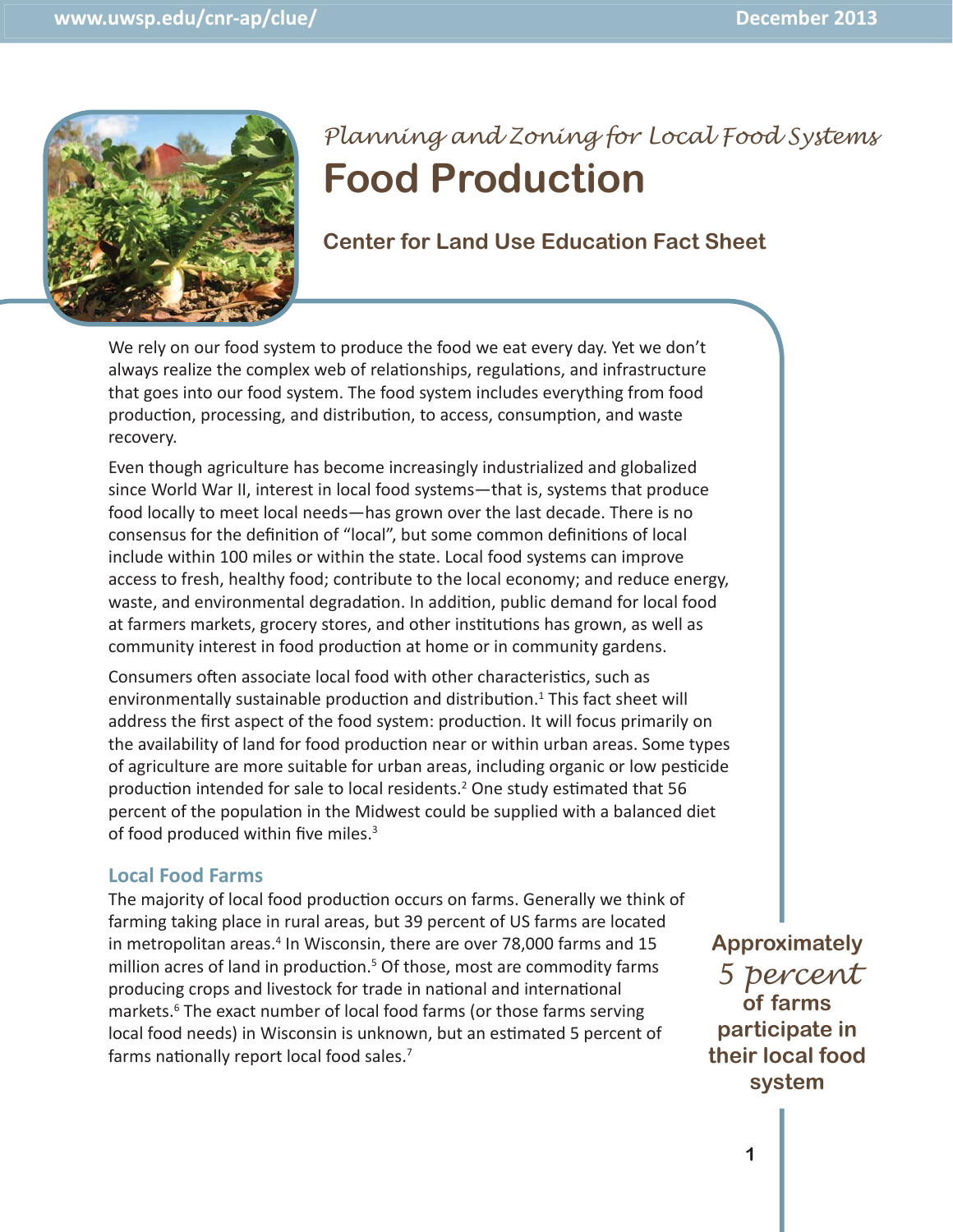

# *Planning and Zoning for Local Food Systems*  **Food Production**

**Center for Land Use Education Fact Sheet**

We rely on our food system to produce the food we eat every day. Yet we don't always realize the complex web of relationships, regulations, and infrastructure that goes into our food system. The food system includes everything from food production, processing, and distribution, to access, consumption, and waste recovery.

Even though agriculture has become increasingly industrialized and globalized since World War II, interest in local food systems—that is, systems that produce food locally to meet local needs—has grown over the last decade. There is no consensus for the definition of "local", but some common definitions of local include within 100 miles or within the state. Local food systems can improve access to fresh, healthy food; contribute to the local economy; and reduce energy, waste, and environmental degradation. In addition, public demand for local food at farmers markets, grocery stores, and other institutions has grown, as well as community interest in food production at home or in community gardens.

Consumers often associate local food with other characteristics, such as environmentally sustainable production and distribution.<sup>1</sup> This fact sheet will address the first aspect of the food system: production. It will focus primarily on the availability of land for food production near or within urban areas. Some types of agriculture are more suitable for urban areas, including organic or low pesticide production intended for sale to local residents.<sup>2</sup> One study estimated that 56 percent of the population in the Midwest could be supplied with a balanced diet of food produced within five miles. $3$ 

#### **Local Food Farms**

The majority of local food production occurs on farms. Generally we think of farming taking place in rural areas, but 39 percent of US farms are located in metropolitan areas.<sup>4</sup> In Wisconsin, there are over 78,000 farms and 15 million acres of land in production.<sup>5</sup> Of those, most are commodity farms producing crops and livestock for trade in national and international markets.<sup>6</sup> The exact number of local food farms (or those farms serving local food needs) in Wisconsin is unknown, but an estimated 5 percent of farms nationally report local food sales. $7$ 

**Approximately**  *5 percent* **of farms participate in their local food system**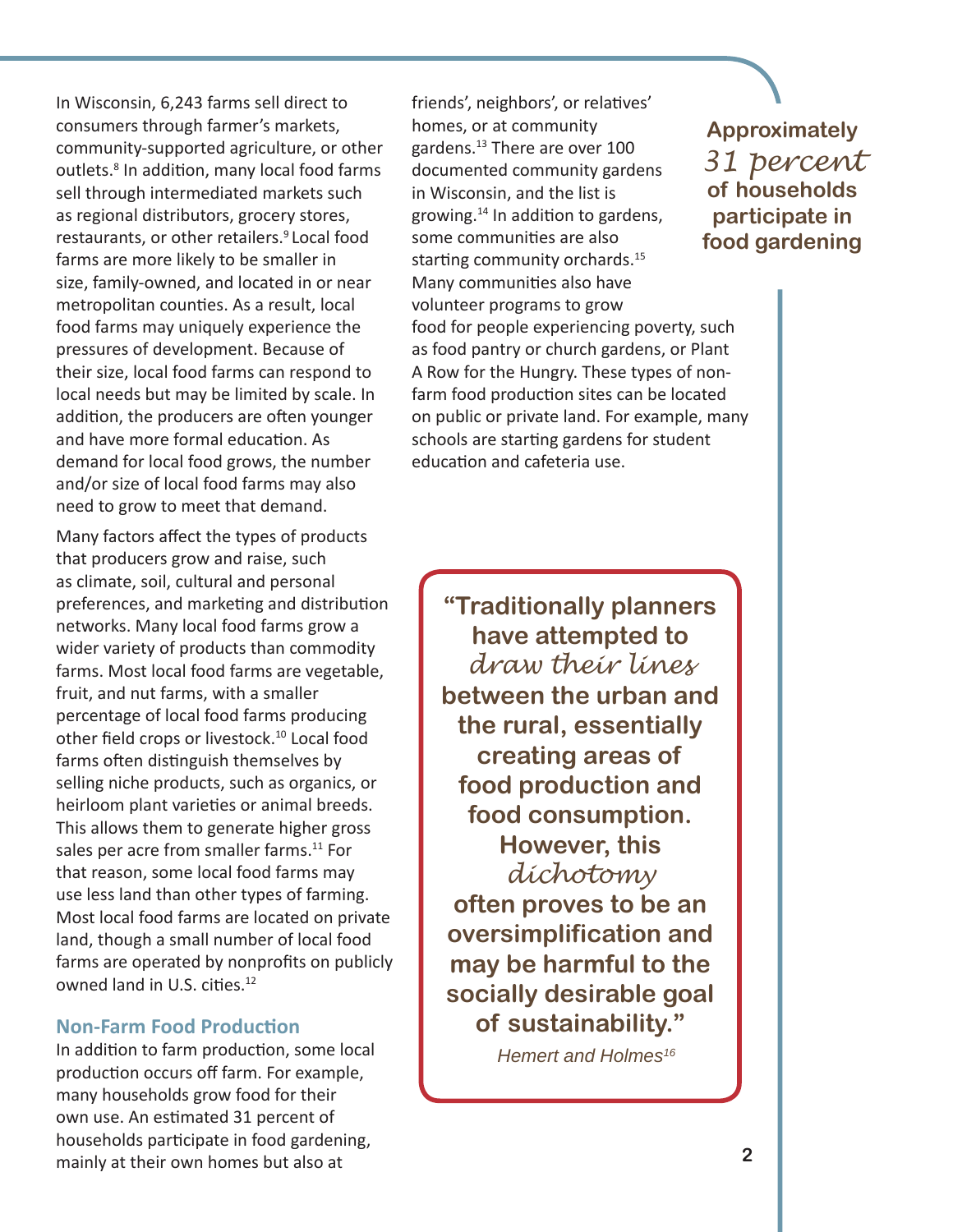In Wisconsin, 6,243 farms sell direct to consumers through farmer's markets, community-supported agriculture, or other outlets.<sup>8</sup> In addition, many local food farms sell through intermediated markets such as regional distributors, grocery stores, restaurants, or other retailers.<sup>9</sup> Local food farms are more likely to be smaller in size, family-owned, and located in or near metropolitan counties. As a result, local food farms may uniquely experience the pressures of development. Because of their size, local food farms can respond to local needs but may be limited by scale. In addition, the producers are often younger and have more formal education. As demand for local food grows, the number and/or size of local food farms may also need to grow to meet that demand.

Many factors affect the types of products that producers grow and raise, such as climate, soil, cultural and personal preferences, and marketing and distribution networks. Many local food farms grow a wider variety of products than commodity farms. Most local food farms are vegetable, fruit, and nut farms, with a smaller percentage of local food farms producing other field crops or livestock.<sup>10</sup> Local food farms often distinguish themselves by selling niche products, such as organics, or heirloom plant varieties or animal breeds. This allows them to generate higher gross sales per acre from smaller farms.<sup>11</sup> For that reason, some local food farms may use less land than other types of farming. Most local food farms are located on private land, though a small number of local food farms are operated by nonprofits on publicly owned land in U.S. cities.<sup>12</sup>

#### **Non-Farm Food Production**

In addition to farm production, some local production occurs off farm. For example, many households grow food for their own use. An estimated 31 percent of households participate in food gardening, mainly at their own homes but also at

friends', neighbors', or relatives' homes, or at community gardens.13 There are over 100 documented community gardens in Wisconsin, and the list is growing.<sup>14</sup> In addition to gardens, some communities are also starting community orchards.<sup>15</sup> Many communities also have volunteer programs to grow food for people experiencing poverty, such as food pantry or church gardens, or Plant A Row for the Hungry. These types of nonfarm food production sites can be located on public or private land. For example, many schools are starting gardens for student education and cafeteria use.

**"Traditionally planners have attempted to**  *draw their lines*  **between the urban and the rural, essentially creating areas of food production and food consumption. However, this**  *dichotomy*  **often proves to be an oversimplification and may be harmful to the socially desirable goal of sustainability."**

*Hemert and Holmes16*

### **Approximately**  *31 percent* **of households participate in food gardening**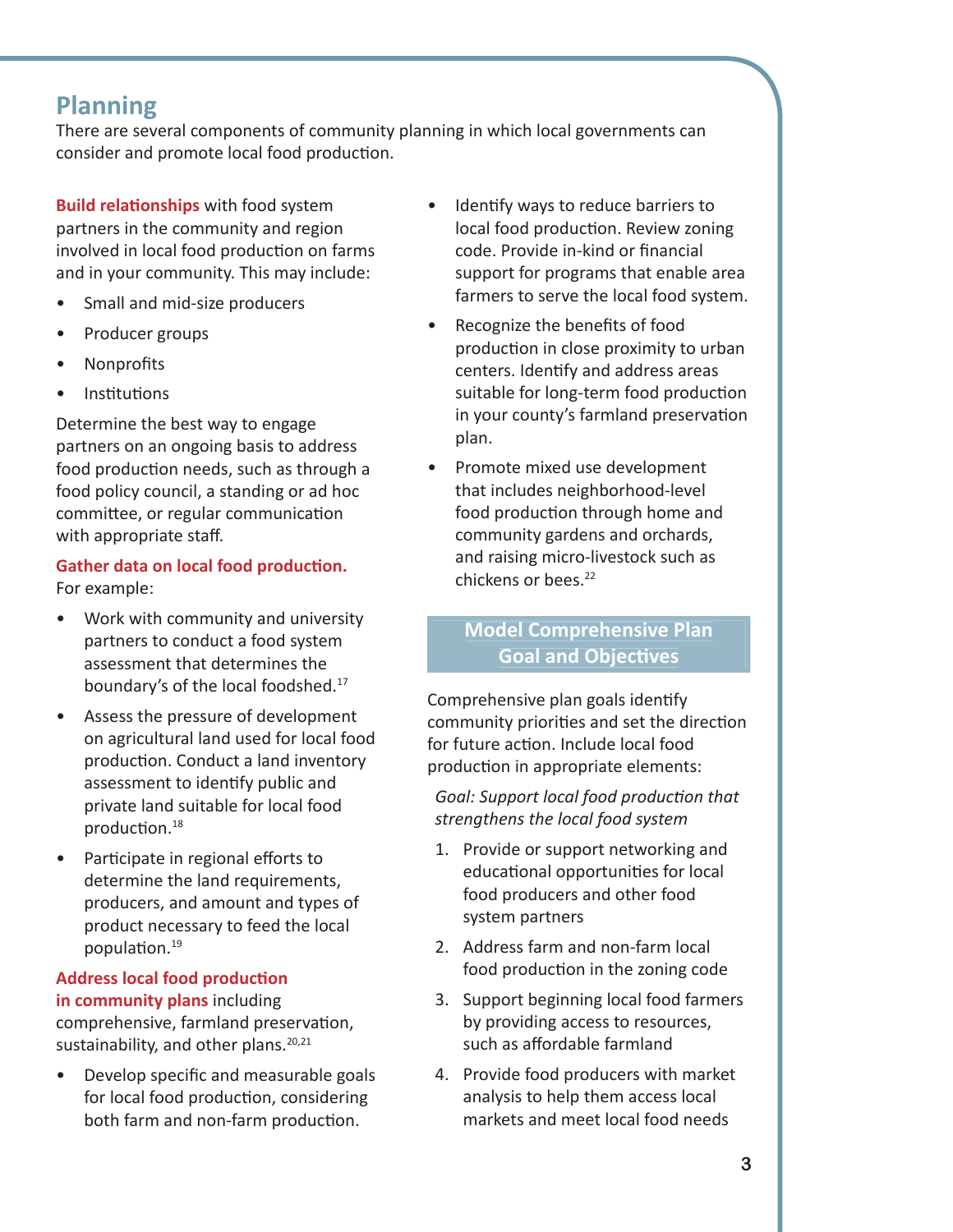## **Planning**

There are several components of community planning in which local governments can consider and promote local food production.

**Build relationships** with food system partners in the community and region involved in local food production on farms and in your community. This may include:

- Small and mid-size producers
- Producer groups
- Nonprofits
- **Institutions**

Determine the best way to engage partners on an ongoing basis to address food production needs, such as through a food policy council, a standing or ad hoc committee, or regular communication with appropriate staff.

#### **Gather data on local food production.** For example:

- Work with community and university partners to conduct a food system assessment that determines the boundary's of the local foodshed.17
- Assess the pressure of development on agricultural land used for local food production. Conduct a land inventory assessment to identify public and private land suitable for local food production.<sup>18</sup>
- Participate in regional efforts to determine the land requirements, producers, and amount and types of product necessary to feed the local population.<sup>19</sup>

## **Address local food production**

**in community plans** including comprehensive, farmland preservation, sustainability, and other plans. $20,21$ 

• Develop specific and measurable goals for local food production, considering both farm and non-farm production.

- Identify ways to reduce barriers to local food production. Review zoning code. Provide in-kind or financial support for programs that enable area farmers to serve the local food system.
- Recognize the benefits of food production in close proximity to urban centers. Identify and address areas suitable for long-term food production in your county's farmland preservation plan.
- Promote mixed use development that includes neighborhood-level food production through home and community gardens and orchards, and raising micro-livestock such as chickens or bees.22

### **Model Comprehensive Plan Goal and Objectives**

Comprehensive plan goals identify community priorities and set the direction for future action. Include local food production in appropriate elements:

*Goal: Support local food production that strengthens the local food system*

- 1. Provide or support networking and educational opportunities for local food producers and other food system partners
- 2. Address farm and non-farm local food production in the zoning code
- 3. Support beginning local food farmers by providing access to resources, such as affordable farmland
- 4. Provide food producers with market analysis to help them access local markets and meet local food needs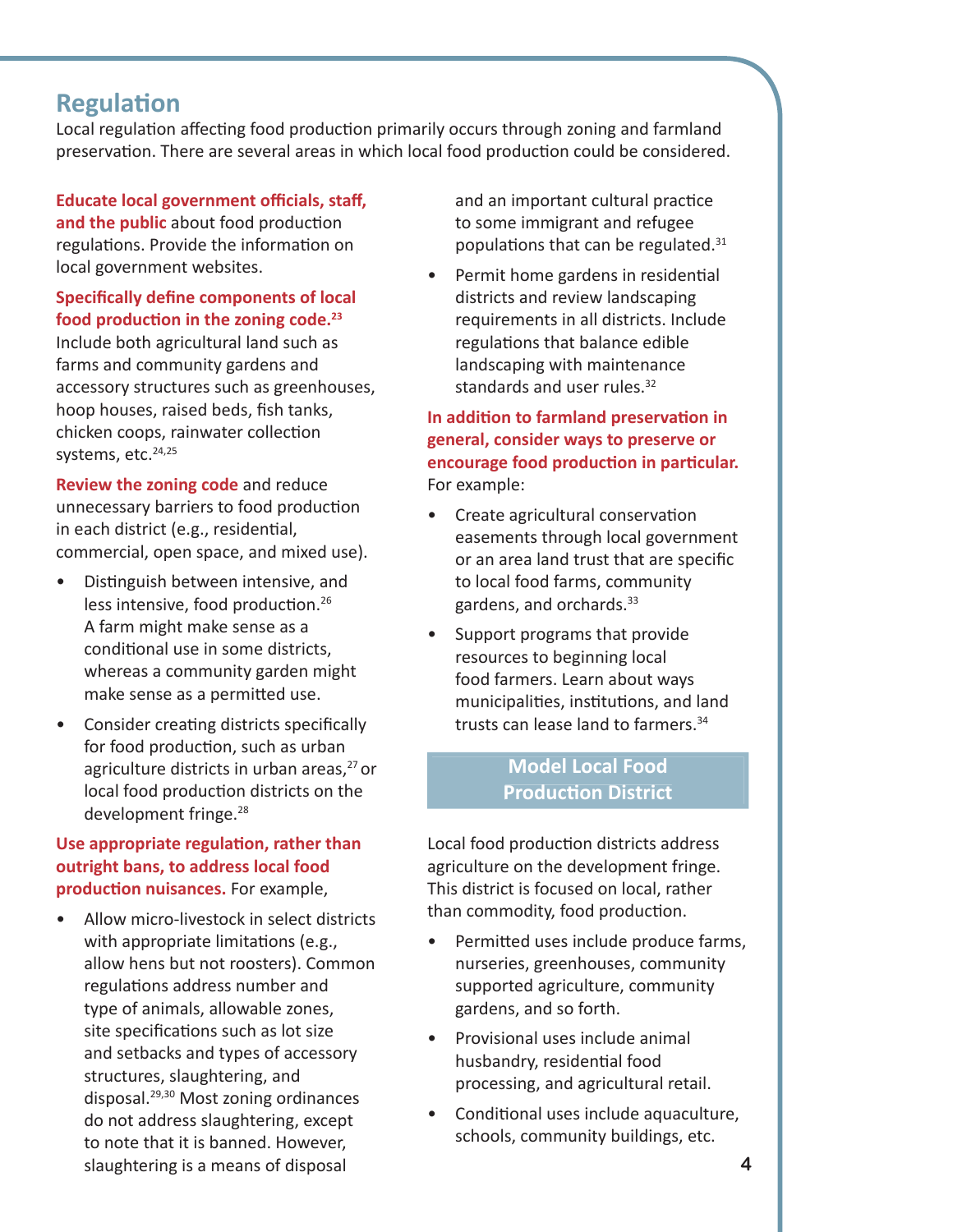### **Regulation**

Local regulation affecting food production primarily occurs through zoning and farmland preservation. There are several areas in which local food production could be considered.

#### **Educate local government officials, staff,**

and the public about food production regulations. Provide the information on local government websites.

#### **Specifically define components of local** food production in the zoning code.<sup>23</sup>

Include both agricultural land such as farms and community gardens and accessory structures such as greenhouses, hoop houses, raised beds, fish tanks, chicken coops, rainwater collection systems, etc.<sup>24,25</sup>

**Review the zoning code** and reduce unnecessary barriers to food production in each district (e.g., residential, commercial, open space, and mixed use).

- Distinguish between intensive, and less intensive, food production.<sup>26</sup> A farm might make sense as a conditional use in some districts, whereas a community garden might make sense as a permitted use.
- Consider creating districts specifically for food production, such as urban agriculture districts in urban areas,<sup>27</sup> or local food production districts on the development fringe.<sup>28</sup>

#### **Use appropriate regulation, rather than outright bans, to address local food production nuisances.** For example,

• Allow micro-livestock in select districts with appropriate limitations (e.g., allow hens but not roosters). Common regulations address number and type of animals, allowable zones, site specifications such as lot size and setbacks and types of accessory structures, slaughtering, and disposal.29,30 Most zoning ordinances do not address slaughtering, except to note that it is banned. However, slaughtering is a means of disposal

and an important cultural practice to some immigrant and refugee populations that can be regulated. $31$ 

Permit home gardens in residential districts and review landscaping requirements in all districts. Include regulations that balance edible landscaping with maintenance standards and user rules.<sup>32</sup>

#### **In addition to farmland preservation in general, consider ways to preserve or encourage food production in particular.** For example:

- Create agricultural conservation easements through local government or an area land trust that are specific to local food farms, community gardens, and orchards.33
- Support programs that provide resources to beginning local food farmers. Learn about ways municipalities, institutions, and land trusts can lease land to farmers.<sup>34</sup>

#### **Model Local Food Production District**

Local food production districts address agriculture on the development fringe. This district is focused on local, rather than commodity, food production.

- Permitted uses include produce farms, nurseries, greenhouses, community supported agriculture, community gardens, and so forth.
- Provisional uses include animal husbandry, residential food processing, and agricultural retail.
- Conditional uses include aquaculture, schools, community buildings, etc.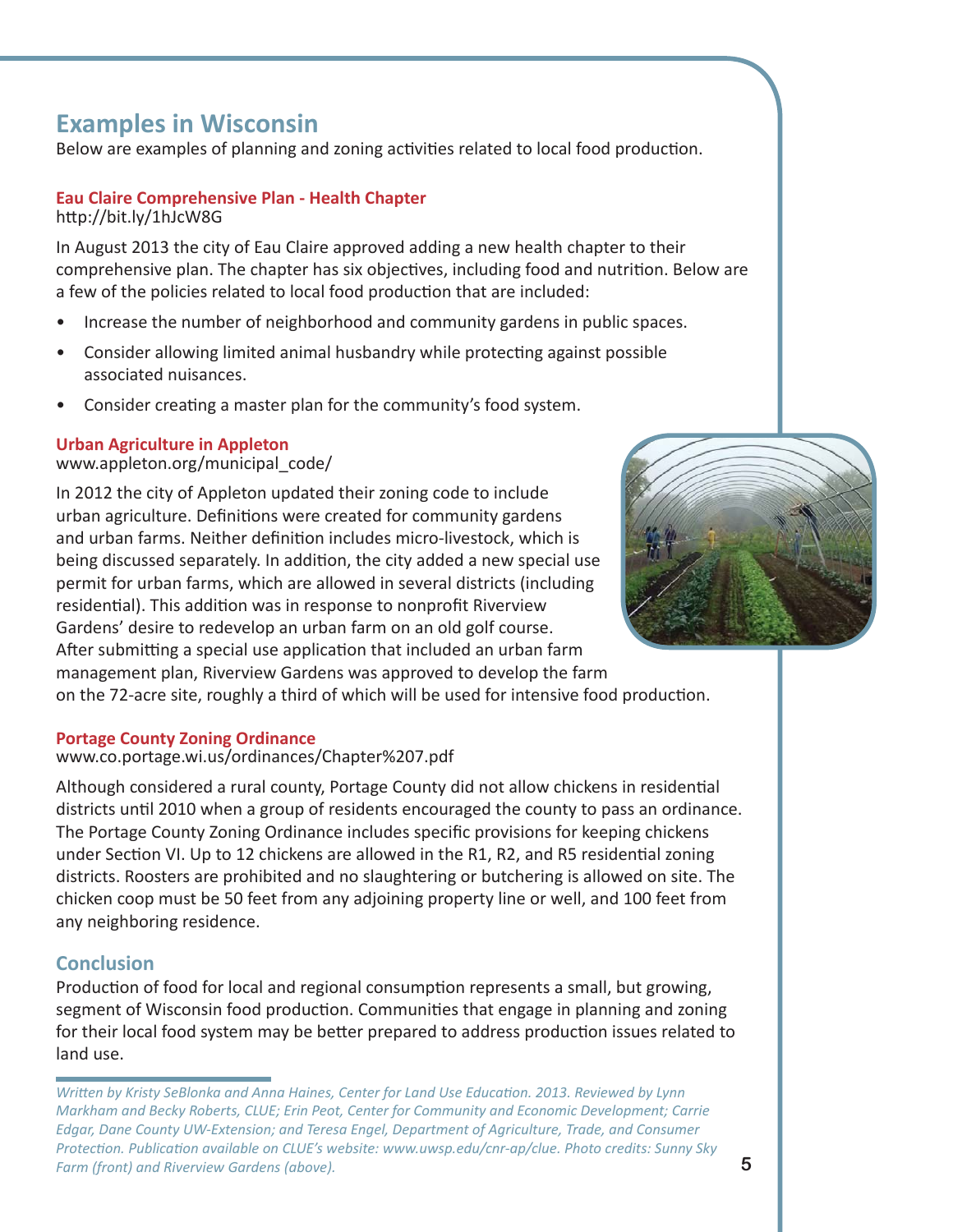## **Examples in Wisconsin**

Below are examples of planning and zoning activities related to local food production.

#### **Eau Claire Comprehensive Plan - Health Chapter** http://bit.ly/1hJcW8G

In August 2013 the city of Eau Claire approved adding a new health chapter to their comprehensive plan. The chapter has six objectives, including food and nutrition. Below are a few of the policies related to local food production that are included:

- Increase the number of neighborhood and community gardens in public spaces.
- Consider allowing limited animal husbandry while protecting against possible associated nuisances.
- Consider creating a master plan for the community's food system.

#### **Urban Agriculture in Appleton**

#### www.appleton.org/municipal\_code/

In 2012 the city of Appleton updated their zoning code to include urban agriculture. Definitions were created for community gardens and urban farms. Neither definition includes micro-livestock, which is being discussed separately. In addition, the city added a new special use permit for urban farms, which are allowed in several districts (including residential). This addition was in response to nonprofit Riverview Gardens' desire to redevelop an urban farm on an old golf course. After submitting a special use application that included an urban farm management plan, Riverview Gardens was approved to develop the farm on the 72-acre site, roughly a third of which will be used for intensive food production.

#### **Portage County Zoning Ordinance**

#### www.co.portage.wi.us/ordinances/Chapter%207.pdf

Although considered a rural county, Portage County did not allow chickens in residential districts until 2010 when a group of residents encouraged the county to pass an ordinance. The Portage County Zoning Ordinance includes specific provisions for keeping chickens under Section VI. Up to 12 chickens are allowed in the R1, R2, and R5 residential zoning districts. Roosters are prohibited and no slaughtering or butchering is allowed on site. The chicken coop must be 50 feet from any adjoining property line or well, and 100 feet from any neighboring residence.

#### **Conclusion**

Production of food for local and regional consumption represents a small, but growing, segment of Wisconsin food production. Communities that engage in planning and zoning for their local food system may be better prepared to address production issues related to land use.



*WriƩ en by Kristy SeBlonka and Anna Haines, Center for Land Use EducaƟ on. 2013. Reviewed by Lynn Markham and Becky Roberts, CLUE; Erin Peot, Center for Community and Economic Development; Carrie Edgar, Dane County UW-Extension; and Teresa Engel, Department of Agriculture, Trade, and Consumer ProtecƟ on. PublicaƟ on available on CLUE's website: www.uwsp.edu/cnr-ap/clue. Photo credits: Sunny Sky Farm (front) and Riverview Gardens (above).*